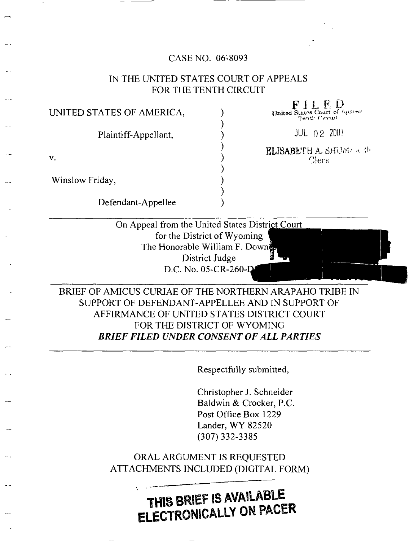#### CASE NO. 06=8093

## IN THE UNITED STATES COURT OF APPEALS FOR THE TENTH CIRCUIT

FILED United State's C\_art of *}\_Ly;"nv q('eJ'\_t.t" (',v,'\_l,#.*

JUL o2 2OO?

 $ELISABE'TH A<sub>s</sub> SHUW/AB'$ 

Clers.

UNITED STATES OF AMERICA,

Plaintiff-Appellant,

V.

Winslow Friday,

Defendant-Appellee

On Appeal from the United States Distri<u>ct Co</u>u for the District of Wyoming The Honorable William F. Down District Judge D.C. No. 05-CR-260-I

BRIEF OF AMICUS CURIAE OF THE NORTHERN ARAPAHO TRIBE IN SUPPORT OF DEFENDANT-APPELLEE AND IN SUPPORT OF AFFIRMANCE OF UNITED STATES DISTRICT COURT FOR THE DISTRICT OF WYOMING *BRIEF FILED UNDER CONSENT OF ALL PARTIES*

Respectfully submitted,

Christopher J. Schneider Baldwin & Crocker, P.C. Post Office Box 1229 Lander, WY 82520 (307) 332-3385

ORAL ARGUMENT IS REQUESTED ATTACHMENTS INCLUDED (DIGITAL FORM)

# **THIS** BRIEF **AVAILABLE ELECTRONICALLYON PACER**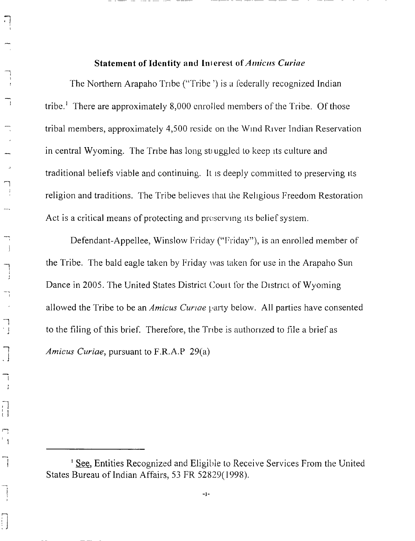#### Statement **of** Identity **anti lnlerest of** *Amicus Curiae*

The Northern Arapaho Tribe ("Tribe ') is a federally recognized Indian tribe.<sup>1</sup> There are approximately 8,000 enrolled members of the Tribe. Of those tribal members, approximately 4,500 reside on the Wind River lndian Reservation in central Wyoming. The Tribe has long struggled to keep its culture and traditional beliefs viable and continuing. It is deeply committed to preserving its religion and traditions. The Tribe believes that the Rehgious Freedom Restoration Act is a critical means of protecting and preserving its belief system.

Defendant-Appellee, Winslow Friday ("Friday"), is an enrolled member of the Tribe. The bald eagle taken by Friday was taken for use in the Arapaho Sun Dance in 2005. The United States District Court for the District of Wyoming allowed the Tribe to be an *Amicus Curiae* party below. All parties have consented to the filing of this brief. Therefore, the Tribe is authorized to file a brief as *Amicus Curiae,* pursuant to F.R.A.P 29(a)

<sup>&</sup>lt;sup>1</sup> See, Entities Recognized and Eligible to Receive Services From the United States Bureau of Indian Affairs, 53 FR 52829(1998).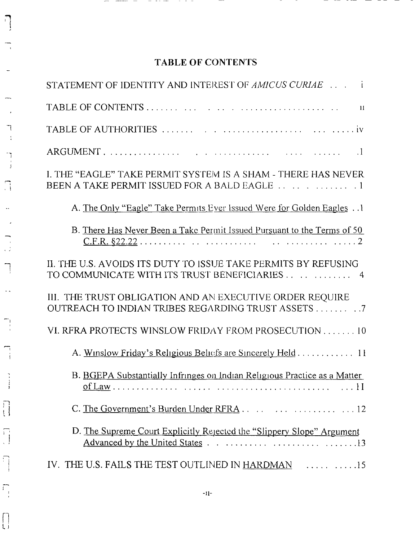# TABLE **OF** CONTENTS

 $- -$ 

 $-$ 

 $\frac{1}{\sqrt{2\pi}}$ 

 $\overline{\phantom{a}}$ 

 $\overline{\phantom{a}}$ 

 $\overline{\phantom{a}}$  $\frac{1}{4}$ 

 $\begin{bmatrix} 1 & 1 \\ 1 & 1 \\ 1 & 1 \end{bmatrix}$ 

 $\Box$ 

 $\ddotsc$ 

 $\mathcal{A}$ 

 $\begin{array}{c} \n\hline \n\cdot \\
\hline\n\cdot\n\end{array}$ 

 $\ddot{\phantom{1}}$ 

 $\begin{array}{c}\n\hline\n\vdots\n\end{array}$ 

 $\prod_{i=1}^{n}$ 

 $\begin{bmatrix} 1 \\ 1 \\ 1 \end{bmatrix}$ 

 $\begin{bmatrix} 1 & 1 \\ 1 & 1 \end{bmatrix}$ 

 $\begin{bmatrix} 1 \\ 1 \end{bmatrix}$ 

| STATEMENT OF IDENTITY AND INTEREST OF AMICUS CURIAE                                                                |
|--------------------------------------------------------------------------------------------------------------------|
|                                                                                                                    |
| TABLE OF AUTHORITIES  Francesconduction and service                                                                |
|                                                                                                                    |
| I. THE "EAGLE" TAKE PERMIT SYSTEM IS A SHAM - THERE HAS NEVER<br>BEEN A TAKE PERMIT ISSUED FOR A BALD EAGLE  1     |
| A. The Only "Eagle" Take Permits Ever Issued Were for Golden Eagles . 1                                            |
| B. There Has Never Been a Take Permit Issued Pursuant to the Terms of 50                                           |
| II. THE U.S. AVOIDS ITS DUTY TO ISSUE TAKE PERMITS BY REFUSING<br>TO COMMUNICATE WITH ITS TRUST BENEFICIARIES    4 |
| III. THE TRUST OBLIGATION AND AN EXECUTIVE ORDER REQUIRE<br>OUTREACH TO INDIAN TRIBES REGARDING TRUST ASSETS  .7   |
| VI. RFRA PROTECTS WINSLOW FRIDAY FROM PROSECUTION 10                                                               |
| A. Winslow Friday's Religious Beliefs are Sincerely Held 11                                                        |
| B. BGEPA Substantially Infringes on Indian Religious Practice as a Matter                                          |
|                                                                                                                    |
| D. The Supreme Court Explicitly Rejected the "Slippery Slope" Argument                                             |
| IV. THE U.S. FAILS THE TEST OUTLINED IN HARDMAN 15                                                                 |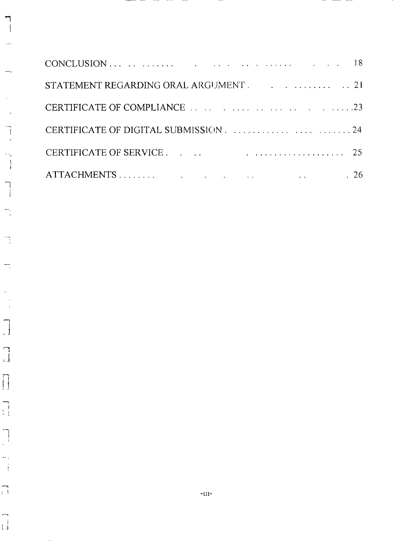| STATEMENT REGARDING ORAL ARGUMENT. 21 |  |
|---------------------------------------|--|
|                                       |  |
|                                       |  |
|                                       |  |
|                                       |  |

 $\overline{\phantom{0}}$  $- - -$ 

 $\begin{array}{c} \n\hline \n\end{array}$ 

 $\ddotsc$ 

 $\overline{\phantom{a}}$ 

 $\overline{a}$ 

 $\overline{\phantom{a}}$ 

 $\frac{1}{\sqrt{2}}$  $\bar{\mathcal{A}}$ 

 $\begin{array}{c}\n\ddots \\
\vdots \\
\vdots \\
\vdots\n\end{array}$ 

 $\begin{array}{c} \hline \hline \hline \end{array}$ 

 $\overline{\phantom{a}}$ 

 $\overrightarrow{\phantom{a}}$ 

 $\frac{1}{\sqrt{2}}$ 

 $\begin{bmatrix} 1 \\ 0 \end{bmatrix}$ 

 $\prod_{i=1}^{n}$ 

 $\begin{array}{c}\n\ddots \\
\vdots \\
\vdots\n\end{array}$ 

 $\mathbb{R}$ 

 $\begin{bmatrix} 1 \\ 1 \end{bmatrix}$ 

 $- -$ 

 $-$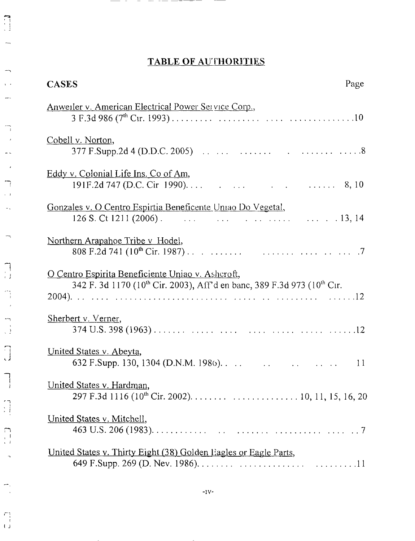## TABLE OF AUTHORITIES

 $-$ 

 $\sim$   $\sim$ 

 $\overline{\phantom{a}}$ 

\_\_\_\_\_\_\_\_

| Page<br><b>CASES</b>                                                                                                                                 |
|------------------------------------------------------------------------------------------------------------------------------------------------------|
| <u>Anweller v. American Electrical Power Service Corp.,</u>                                                                                          |
| Cobell v. Norton,                                                                                                                                    |
| Eddy v. Colonial Life Ins. Co of Am,<br>191F.2d 747 (D.C. Cir 1990) 8, 10                                                                            |
| Gonzales v. O Centro Espirtia Beneficente União Do Vegetal,                                                                                          |
| Northern Arapahoe Tribe v Hodel,                                                                                                                     |
| O Centro Espirita Beneficiente Uniao v. Ashcroft,<br>342 F. 3d 1170 (10 <sup>th</sup> Cir. 2003), Aff'd en banc, 389 F.3d 973 (10 <sup>th</sup> Cir. |
| Sherbert v. Verner,                                                                                                                                  |
| United States v. Abeyta,<br>11                                                                                                                       |
| United States v. Hardman,                                                                                                                            |
| <u>United States v. Mitchell,</u>                                                                                                                    |
| United States v. Thirty Eight (38) Golden Lagles or Eagle Parts,                                                                                     |

i

 $\prod_{i=1}^{n}$ 

 $\overline{\phantom{a}}$ 

 $\begin{bmatrix} 1 & 0 & 0 \\ 0 & 0 & 0 \\ 0 & 0 & 0 \\ 0 & 0 & 0 \\ 0 & 0 & 0 \\ 0 & 0 & 0 \\ 0 & 0 & 0 & 0 \\ 0 & 0 & 0 & 0 \\ 0 & 0 & 0 & 0 \\ 0 & 0 & 0 & 0 & 0 \\ 0 & 0 & 0 & 0 & 0 \\ 0 & 0 & 0 & 0 & 0 \\ 0 & 0 & 0 & 0 & 0 & 0 \\ 0 & 0 & 0 & 0 & 0 & 0 \\ 0 & 0 & 0 & 0 & 0 & 0 \\ 0 & 0 & 0 & 0 & 0 & 0 \\ 0 & 0 &$ 

 $\begin{bmatrix} 1 \\ 1 \\ 1 \end{bmatrix}$ 

 $\sim$ 

 $\begin{array}{c} \hline \hline \end{array}$ 

 $\omega_{\rm ex}$ 

 $\rightarrowtail$  $\sqrt{2}$ 

 $\overline{\phantom{a}}$ 

 $\overline{\mathbb{Z}_1}$  $\bar{\mathcal{A}}$ 

 $\sim$   $\sim$ 

 $\bar{\boldsymbol{\beta}}$ 

 $\overline{\mathcal{L}}$  $\sqrt{1}$ 

 $\mathbb{Z}_k$ 

 $\overline{\phantom{a}}$ 

 $\prod_{i=1}^{n}$ 

 $\begin{pmatrix} 1 & 1 \\ 1 & 1 \\ 1 & 1 \end{pmatrix}$ 

 $\begin{bmatrix} 1 \\ 2 \end{bmatrix}$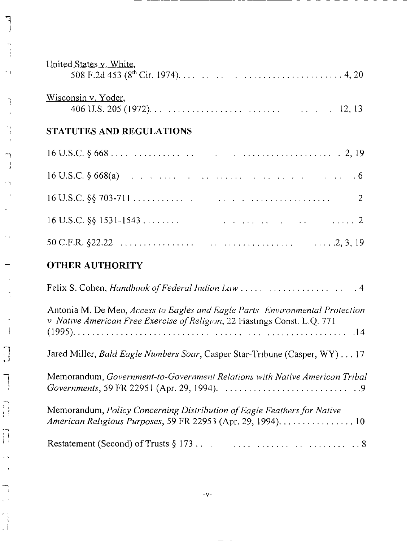| United States v. White,                                                                                                                                  |
|----------------------------------------------------------------------------------------------------------------------------------------------------------|
| Wisconsin v. Yoder,                                                                                                                                      |
| <b>STATUTES AND REGULATIONS</b>                                                                                                                          |
|                                                                                                                                                          |
|                                                                                                                                                          |
|                                                                                                                                                          |
|                                                                                                                                                          |
|                                                                                                                                                          |
| <b>OTHER AUTHORITY</b>                                                                                                                                   |
|                                                                                                                                                          |
| Antonia M. De Meo, Access to Eagles and Eagle Parts Environmental Protection<br>v Native American Free Exercise of Religion, 22 Hastings Const. L.Q. 771 |
| Jared Miller, <i>Bald Eagle Numbers Soar</i> , Casper Star-Tribune (Casper, WY) 17                                                                       |
| Memorandum, Government-to-Government Relations with Native American Tribal                                                                               |
| Memorandum, Policy Concerning Distribution of Eagle Feathers for Native<br>American Religious Purposes, 59 FR 22953 (Apr. 29, 1994). 10                  |

 $\begin{array}{c} \n7 \\ \n1 \end{array}$ 

 $\overline{\phantom{a}}$  )

 $\overline{3}$ 

7٦  $\frac{1}{4}$ 

 $\int$ 

 $\begin{array}{c} \square \end{array}$ 

 $\begin{bmatrix} 1 & 1 \\ 1 & 1 \end{bmatrix}$ 

 $\prod_{i=1}^{n}$ 

 $\overline{\phantom{a}}$  $\frac{1}{2}$ 

 $\begin{bmatrix} 1 \\ 1 \end{bmatrix}$ 

Restatement (Second) of Trusts 5 173 ......................... 8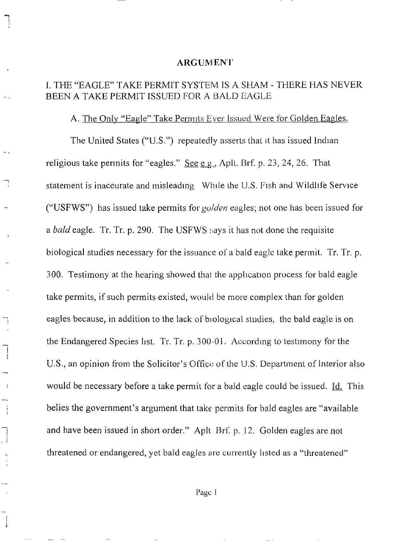#### ARGUMENT

## I. THE "EAGLE" TAKE PERMIT SYSTEM IS A SHAM - THERE HAS NEVER BEEN A TAKE PERMIT ISSUED FOR A BALD EAGLE

## A. The Only "Eagle" Take Permits Ever Issued Were for Golden Eagles.

The United States ("U.S.") repeatedly asserts that it has issued Indian religious take permits for "eagles." See e.g., Aplt. Brf. p. 23, 24, 26. That statement is inaccurate and misleading While the U.S. Fish and Wildlife Service ("USFWS") has issued take permits for  $\frac{g}{d}$  eagles; not one has been issued for a *bald* eagle. Tr. Tr. p. 290. The USFWS says it has not done the requisite biological studies necessary for the issuance of a bald eagle take permit. Tr. Tr. p. 300. Testimony at the hearing showed that the application process for bald eagle take permits, if such permits existed, would be more complex than for golden eagles because, in addition to the lack of biological studies, the bald eagle is on the Endangered Species hst. Tr. Tr. p. 300-01. According to testimony for the U.S., an opinion from the Solicitor's Office of the U.S. Department of Interior also would be necessary before a take permit for a bald eagle could be issued. Id. This belies the government's argument that take permits for bald eagles are "available and have been issued in short order." Aplt Brf. p. 12. Golden eagles are not threatened or endangered, yet bald eagles are currently listed as a "threatened"

٦

 $\prod\limits_{i=1}^{n}$ 

 $\cdot$ 

 $\frac{1}{3}$ 

 $\begin{array}{c} \n\downarrow \\
\downarrow\n\end{array}$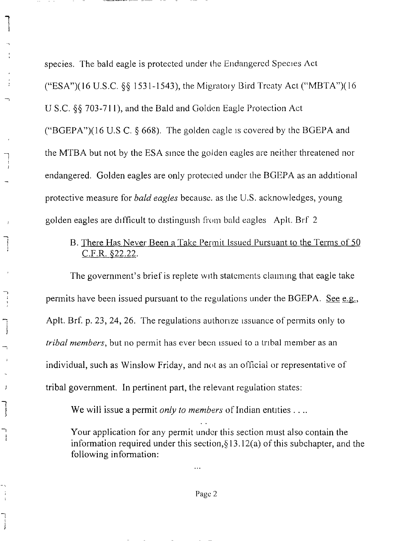species. The bald eagle is protected under the Endangered Species Act ("ESA")(16 U.S.C.  $\S$ § 1531-1543), the Migratory Bird Treaty Act ("MBTA")(16 U S.C. §§ 703-711), and the Bald and Golden Eagle Protection Act ("BGEPA")(16 U.S C.  $\S$  668). The golden eagle is covered by the BGEPA and the MTBA but not by the ESA smce the golden eagles are neither threatened nor endangered. Golden eagles are only protected under the BGEPA as an additional protective measure for *bald eagles* because, as the U.S. acknowledges, young golden eagles are difficult to distinguish from bald eagles Aplt. Brf 2

## B. There Has Never Been a Take Permit issued Pursuant to the Terms of 50 C.F.R. §22.22.

The government's brief is replete with statements claunmg that eagle take permits have been issued pursuant to the regulations under the BGEPA. See e.g., Aplt. Brf. p. 23, 24, 26. The regulations authorize issuance of permits only to *tribal members*, but no permit has ever been issued to a tribal member as an individual, such as Winslow Friday, and not as an oflicial or representative of tribal government. In pertinent part, the relevant regulation states:

We will issue a permit *only to members* of Indian entities ....

 $\lambda$ 

 $\left\vert \cdot \right\rangle$ 

Your application for any permit under this section must also contain the information required under this section,  $\S 13.12(a)$  of this subchapter, and the following information: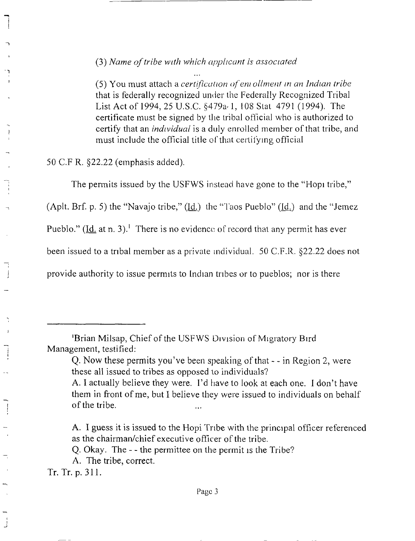(3) *Name of tribe wzth which* apphcant *is assocmted*

(5) You must attach a *cert!f\_ccmon o/'em ollment m an Indian tribe* that is federally recognized under the Federally Recognized Tribal List Act of 1994, 25 U.S.C. §479a-1, 108 Stat 4791 (1994). The certificate must be signed by the tribal official who is authorized to certify that an *individual* is a duly enrolled member of that tribe, and must include the official title of that certifying official

50 C.F R. {}22.22 (emphasis added).

The permits issued by the USFWS instead have gone to the "Hopi tribe,"

(Aplt. Brf. p. 5) the "Navajo tribe,"  $(\underline{Id.})$  the "Taos Pueblo"  $(\underline{Id.})$  and the "Jemez

Pueblo." (Id. at n. 3). There is no evidence of record that any permit has ever

been issued to a tribal member as a private individual. 50 C.F.R. §22.22 does not

provide authority to issue permits to Indian tribes or to pueblos; nor is there

A. I guess it is issued to the Hopi Tribe with the principal officer referenced as the chairman/chief executive officer of the tribe.

Q. Okay. The - - the permittee on the permit Is the Tribe?

A. The tribe, correct.

Tr. Tr. p. 311.

j

<sup>&#</sup>x27;Brian Milsap, Chief of the USFWS Division of Migratory Bird Management, testified:

Q. Now these permits you've been speaking of that - - in Region 2, were these all issued to tribes as opposed to individuals?

A. i actually believe they were. I'd have to look at each one. I don't have them in front of me, but I believe they were issued to individuals on behalf of the tribe.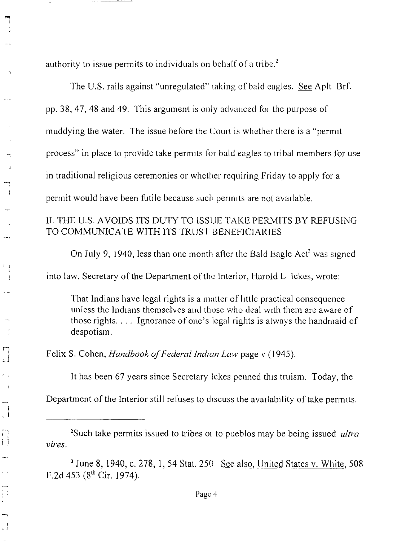! Ш  $\overline{1}$  $\mathbf{I}$  $\cdot$  j  $\begin{bmatrix} 1 \\ 1 \end{bmatrix}$  $\sqrt{2}$  $\begin{bmatrix} 1 & 1 \\ 1 & 1 \\ 1 & 1 \end{bmatrix}$ Ĥ

authority to issue permits to individuals on behalf of a tribe.<sup>2</sup>

The U.S. rails against "unregulated" taking of bald eagles. See Aplt Brf. pp. 38, 47, 48 and 49. This argument is only advanced fol the purpose of muddying the water. The issue before the Court is whether there is a "permit process" in place to provide take permits for bald eagles to tribal members for use in traditional religious ceremonies or whether requiring Friday to apply for a permit would have been futile because such perinits are not available.

## II. THE U.S. AVOIDS ITS DUTY TO 1SSUE TAKE PERMITS BY REFUSING TO COMMUNICATE WITH ITS TRUST BENEFICIARIES

On July 9, 1940, less than one month after the Bald Eagle  $Act<sup>3</sup>$  was signed

into law, Secretary of the Department of the Interior, Harold *L* Ickes, wrote:

That Indians have legal rights is a matter of little practical consequence unless the Indians themselves and those who deal with them are aware of those rights .... Ignorance of one's legal rights is always the handmaid of despotism.

Felix S. Cohen, *Handbook of Federal lndlan Law* page v (1945).

It has been 67 years since Secretary lckes penned this truism. Today, the

Department of the Interior still refuses to discuss the availability of take permits.

<sup>&</sup>lt;sup>2</sup>Such take permits issued to tribes or to pueblos may be being issued *ultra vires.*

<sup>&</sup>lt;sup>3</sup> June 8, 1940, c. 278, 1, 54 Stat. 250 <u>See also, United States v. White</u>, 508 F.2d 453 ( $8^{th}$  Cir. 1974).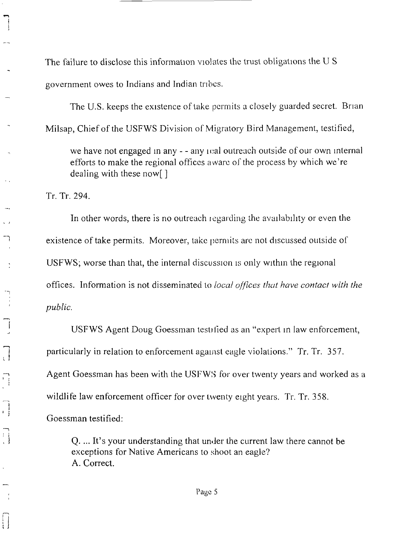The failure to disclose this information violates the trust obligations the  $U S$ government owes to Indians and Indian tribes.

The U.S. keeps the existence of take permits a closely guarded secret. Brian Milsap, Chief of the USFWS Division of Migratory Bird Management, testified,

we have not engaged in any  $-$  - any real outreach outside of our own internal efforts to make the regional offices aware of the process by which we're dealing with these now[ ]

Tr. Tr. 294.

 $\bigcap$ 

 $\begin{bmatrix} 1 \\ 1 \end{bmatrix}$ 

 $\prod_{i=1}^{n}$ 

 $\begin{array}{c} \begin{array}{c} \begin{array}{c} \end{array} \\ \begin{array}{c} \end{array} \end{array} \end{array}$ 

In other words, there is no outreach regarding the availability or even the existence of take permits. Moreover, take permits are not discussed outside of USFWS; worse than that, the internal discusslon is only within the regional offices. Information is not disseminated to *local o/rices that have contact with the public.*

USFWS Agent Doug Goessman testified as an "expert in law enforcement, particularly in relation to enforcement against eagle violations." Tr. Tr. 357. Agent Goessman has been with the USFWS for over twenty years and worked as a wildlife law enforcement officer for over twenty eight years. Tr. Tr. 358. Goessman testified:

Q. ... It's your understanding that under the current law there cannot be exceptions for Native Americans to shoot an eagle? A. Correct.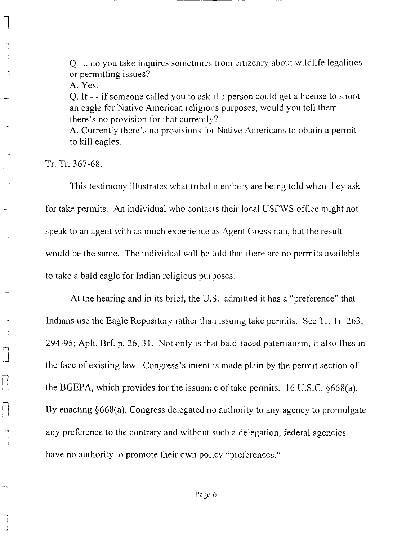Q. .. do you take inquires sometimes from citizenry about wildlife legalities or permitting issues?

A. Yes.

Q. If - - if someone called you to ask if a person could get a license to shoot an eagle for Native American religious purposes, would you tell them there's no provision for that currently?

A. Currently there's no provisions for Native Americans to obtain a permit to kill eagles.

Tr. Tr. 367-68.

+

٦

Ĵ

1 +

 $\begin{bmatrix} 1 \\ 1 \end{bmatrix}$ 

 $\begin{array}{c} \hline \end{array}$ 

 $\prod_{i=1}^{n}$ 

This testimony illustrates what tribal members are being told when they ask for take permits. An individual who contacts their local USFWS office might not speak to an agent with as much experience as Agent Goessman, but the result would be the same. The individual will be told that there are no permits available to take a bald eagle for Indian religious purposes.

At the hearing and in its brief, the U.S. admitted it has a "preference" that Indians use the Eagle Repository rather than issuing take permils. See Tr. Tr 263, 294-95; Aplt. Brf. p. 26, 31. Not only is that bald-faced paternalism, it also flies in the face of existing law. Congress's intent is made plain by the permit section of the BGEPA, which provides for the issuance of take permits. 16 U.S.C. §668(a). By enacting §668(a), Congress delegated no authority to any agency to promulgate any preference to the contrary and without such a delegation, federal agencies have no authority to promote their own policy "preferences."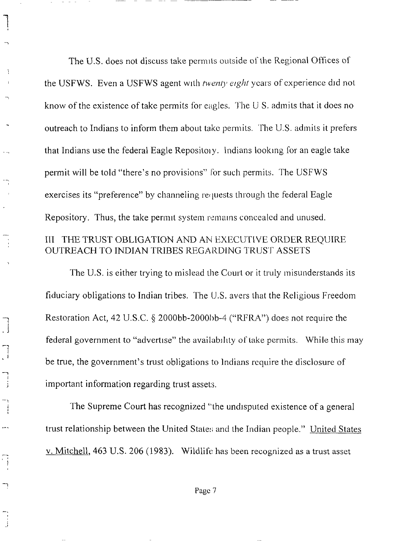The U.S. does not discuss take permits outside of the Regional Offices of the USFWS. Even a USFWS agent with *twenty eight* years of experience did not know of the existence of take permits for eagles. The  $\overline{U}S$  admits that it does no outreach to Indians to inform them about take permits. The U.S. admits it prefers that Indians use the federal Eagle Repositoly. Indians looking for an eagle take permit will be told "there's no provisions" for such permits. The USFWS exercises its "preference" by channeling requests through the federal Eagle Repository. Thus, the take permit system remains concealed and unused. Ill THE TRUST OBLIGATION AND AN EXECUTIVE ORDER REQUIRE OUTREACH TO INDIAN TRIBES REGARDING TRUST ASSETS

The U.S. is either trying to mislead the *Court* or it truly misunderstands its fiduciary obligations to Indian tribes. The U.S. avers that the Religious Freedom Restoration Act, 42 U.S.C. § 2000bb-2000bb-4 ("RFRA") does not require the federal government to "advertise" the availablhty of take permits. While this may be true, the government's trust obligations to Indians require the disclosure of important information regarding trust assets.

 $\cdot$   $\cdot$ 

 $\begin{bmatrix} 1 \\ 1 \end{bmatrix}$ 

 $\prod_{j=1}^n$ 

 $\overline{\phantom{a}}$ 

The Supreme Court has recognized "the undisputed existence of a general trust relationship between the United States and the Indian people." United States v. Mitchell, 463 U.S. 206 (1983). Wildlife has been recognized as a trust asset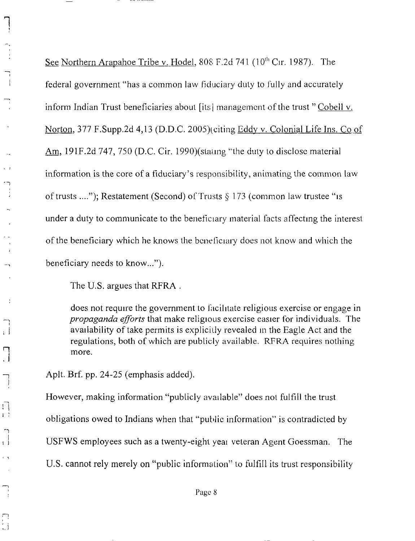See Northern Arapahoe Tribe v. Hodel, 808 F.2d 741 (10<sup>th</sup> Cir. 1987). The federal government "has a common law fiduciary duty to fully and accurately inform Indian Trust beneficiaries about [its] management of the trust "Cobell v. Norton, 377 F.Supp.2d 4,13 (D.D.C. 2005)(citing Eddy v. Colonial Life Ins. Co of Am, 191F.2d 747, 750 (D.C. Cir. 1990)(stating "the duty to disclose material information is the core of a fiduciary's responsibility, animating the common law of trusts .... "); Restatement (Second) of Trusts § 173 (common law trustee "as under a duty to communicate to the beneficiary material facts affecting the interest of the beneficiary which he knows the beneficiary does nol know and which the beneficiary needs to know...").

The U.S. argues that RFRA.

 $\begin{array}{c} \begin{array}{c} \text{ } \end{array} \end{array}$ 

 $\begin{array}{c}\n\bullet \\
\bullet \\
\bullet \\
\bullet\n\end{array}$ 

 $\overline{\phantom{a}}$ 

 $\cdot$  1

 $\begin{array}{c} \hline \hline \end{array}$ 

 $\prod_{i=1}^{n}$ 

 $\frac{1}{1}$ 

 $\bigcap_{i=1}^n$ 

 $\Box$ 

does not require the government to facihtate religious exercise or engage in *propaganda efforts* that make religious exercise easier for individuals. The availability of take permits is explicitly revealed in the Eagle Act and the regulations, both of which are publicly available. RFRA requires nothing more.

Aplt. Brf. pp. 24-25 (emphasis added).

However, making information "publicly available" does not fulfill the trust obligations owed to Indians when that "public information" is contradicted by USFWS employees such as a twenty-eight year veteran Agent Goessman. The U.S. cannot rely merely on "public information" to fulfill its trust responsibility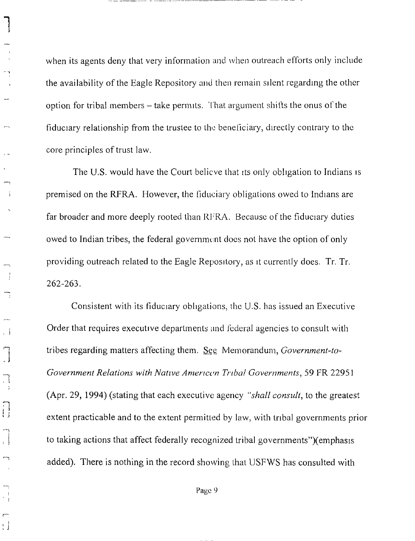when its agents deny that very information and when outreach efforts only include the availability of the Eagle Repository and then remain silent regarding the other option for tribal members - take permits. That argument shifts the onus of the fiductary relationship from the trustee to the beneficiary, directly contrary to the core principles of trust law.

The U.S. would have the Court believe that its only obhgation to Indians is premised on the RFRA. However, the fiduciary obligations owed to Indians are far broader and more deeply rooted than RFRA. Because of the fiduciary duties owed to Indian tribes, the federal government does not have the option of only providing outreach related to the Eagle Repository, as it currently does. Tr. Tr. 262-263.

Consistent with its fiductary obligations, the U.S. has issued an Executive Order that requires executive departments and federal agencies to consult with tribes regarding matters affecting them. See Memorandum, *Government-to-Government Relations with Native American Tribal Governments,* 59 FR 22951 (Apr. 29, 1994) (stating that each executive agency "shall *consult,* to the greatest extent practicable and to the extent permitted by law, with tribal governments prior to taking actions that affect federally recognized tribal governments")(emphasis added). There is nothing in the record showing that USFWS has consulted with

Page 9

)

ŧJ

 $\tilde{\mathcal{L}}$ 

 $\mathbf{i}$ 

- 1

 $\cdot$  j

 $\prod_{i=1}^{n}$ 

 $\prod_{i=1}^{n}$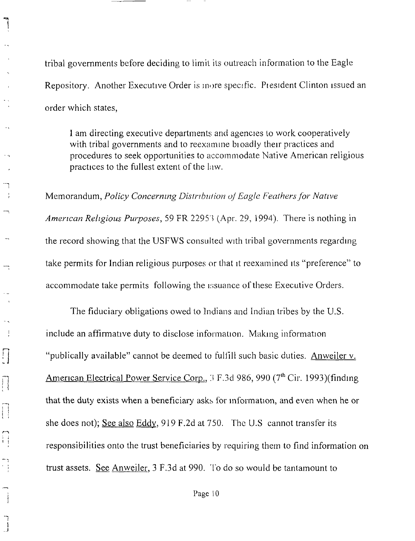tribal governments before deciding to limit its outreach information to the Eagle Repository. Another Executive Order is more specific. President Clinton Issued an order which states,

I am directing executive departments and agencies to work cooperatively with tribal governments and to reexamine bioadly their practices and procedures to seek opportunities to accommodate Native American religious practices to the fullest extent of the law.

Memorandum, *Policy Concerning Distrlbu/ion oJ Eagle Feathers for Native Amertcan Religious Purposes,* 59 FR 22953 (Apr. 29, 1994). There is nothing in the record showing that the USFWS consulted with tribal governments regarding take permits for Indian religious purposes or that it reexamined *ns* "preference" to accommodate take permits following the issuance of these Executive Orders.

The fiduciary obligations owed to Indians and Indian tribes by the U.S. include an affirmative duty to disclose information. Making information "publically available" cannot be deemed to fulfill such basic duties. Anweiler v. American Electrical Power Service Corp., 3 F.3d 986, 990 (7<sup>th</sup> Cir. 1993)(finding that the duty exists when a beneficiary asks for information, and even when he or she does not); See also Eddy, 919 F.2d at 750. The U.S cannot transfer its responsibilities onto the trust beneficiaries by requiring them to find information on trust assets. See Anweiler,  $3$  F.3d at 990. To do so would be tantamount to

I

 $\begin{bmatrix} 1 \\ 1 \end{bmatrix}$ 

 $\frac{1}{2}$ 

 $\sim \sqrt{2}$  $\frac{1}{2}$ 

 $\prod_{i=1}^{n}$ 

 $\begin{bmatrix} 1 \\ 1 \\ 1 \end{bmatrix}$ 

 $\begin{bmatrix} \phantom{-} \\ \phantom{-} \end{bmatrix}$ 

 $\Box$ 

 $\begin{array}{c}\n\overrightarrow{a} \\
\overrightarrow{b} \\
\overrightarrow{c}\n\end{array}$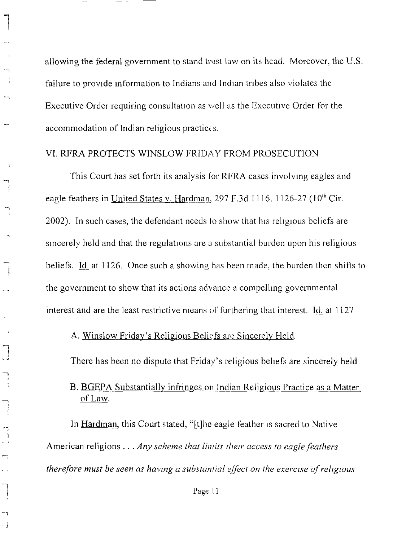allowing the federal government to stand trust law on its head. Moreover, the U.S. failure to provide information to Indians and Indian tribes also violates the Executive Order requiring consultation as well as the Executive Order for the accommodation of Indian religious practices.

#### VI. RFRA PROTECTS WINSLOW FRIDAY FROM PROSECUTION

I

 $\overline{a}$ 

--<br>ا )

 $\begin{array}{c} \hline \hline \end{array}$ 

 $\begin{bmatrix} 1 \\ 1 \end{bmatrix}$ 

 $\overline{\phantom{m}}$ 

 $\overline{a}$ ر .

This Court has set forth its analysis for RFRA cases involvmg eagles and eagle feathers in United States v. Hardman, 297 F.3d 1116. 1126-27 (10<sup>th</sup> Cir. 2002). In such cases, the defendant needs to show that his religious beliefs are sincerely held and that the regulations are a substantial burden upon his religious beliefs. Id at 1126. Once such a showing has been made, the burden then shifts to the government to show that its actions advance a compclhng governmental interest and are the least restrictive means of furthering that interest.  $\underline{Id}$ . at 1127

## A. Winslow Friday's Religious Beliefs are Sincerely Held.

There has been no dispute that Friday's religious behefs are sincerely held

## B. BGEPA Substantially infringes on Indian Religious Practice as a Matter of Law.

In Hardman, this Court stated, "[t]he eagle feather is sacred to Native American religions . . . *Any* scheme that *limits* their access to eagle feathers *therefore must be seen as hawng a substantial effect on the exerczse of rehglous*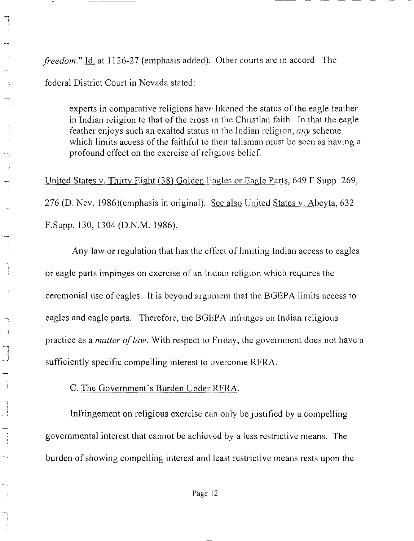*freedom.*" Id. at 1126-27 (emphasis added). Other courts are in accord The federal District Court in Nevada stated:

 $\mathbf{I}$ 

ĵ.

 $\mathbf{I}$ 

.j

 $\begin{array}{c} 1 \\ 1 \end{array}$ 

 $\begin{bmatrix} 1 \\ -1 \end{bmatrix}$ 

÷

 $\frac{1}{2}$ 

experts in comparative religions have likened the status of the eagle feather in Indian religion to that of the cross m the Christian faith In that the eagle feather enjoys such an exalted status m the indian religion, *any* scheme which limits access of the faithful to their talisman must be seen as having a profound effect on the exercise of rehgious beliet:

United States v. Thirty Eight *(38)* Golden Fagles or Eagle Parts, 649 F Supp 269, 276 (D. Nev. 1986)(emphasis in original). **See** also United States v. Abeyta, 632 F.Supp. 130, 1304 (D.N.M. 1986).

Any law or regulation that has the effect of limiting Indian access to eagles or eagle parts impinges on exercise of an Indian religion which requires the ceremonial use of eagles. It is beyond argument that the BGEPA limits access to eagles and eagle parts. Therefore, the BGEPA infringes on Indian religious practice as a *matter of law.* With respect to Friday, the government does not have a sufficiently specific compelling interest to overcome RFRA.

C. The Government's Burden Under RFIL4.

Infringement on religious exercise can only be justified by a compelling governmental interest that cannot be achieved by a less restrictive means. The burden of showing compelling interest and least restrictive means rests upon the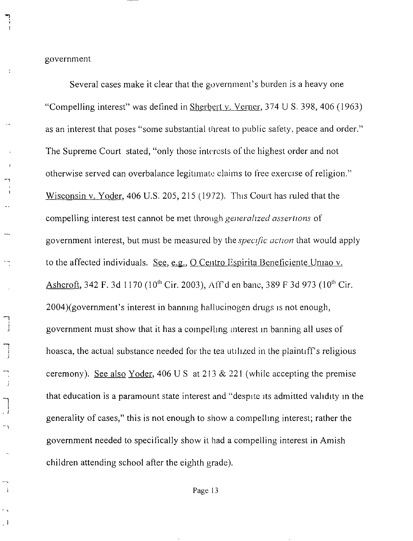$\begin{array}{c} \overline{\phantom{a}} \\ \overline{\phantom{a}} \\ \overline{\phantom{a}} \end{array}$ 

 $\mathbf{i}$ 

 $\Box$ 

Several cases make it clear that the government's burden is a heavy one "Compelling interest" was defined in Sherbert v. Verner, 374 U S. 398, 406 (1963) as an interest that poses "some substantial threat to public safety, peace and order." The Supreme Court stated, "only those interests of the highest order and not otherwise served can overbalance legitimate claims to free exercise of religion." Wisconsin v. Yoder, 406 U.S. 205,215 (1972). This Court has ruled that the compelling interest test cannot be met through *ge\_erahzed assertions* of government interest, but must be measured by the *specific action* that would apply to the affected individuals. See, e.g., O Centro Espirita Beneficiente Uniao v. Ashcroft, 342 F. 3d 1170 (10<sup>th</sup> Cir. 2003), Aff'd en banc, 389 F 3d 973 (10<sup>th</sup> Cir. 2004)(government's interest in banning hallucinogen drugs Is not enough, government must show that it has a compelling interest in banning all uses of hoasca, the actual substance needed for the tea utilized in the plaintiff's religious ceremony). See also Yoder, 406 U S at 213 & 221 (while accepting the premise that education is a paramount state interest and "despite its admitted validity in the generality of cases," this is not enough to show a compelhng interest; rather the government needed to specifically show it had a compelling interest in Amish children attending school after the eighth grade).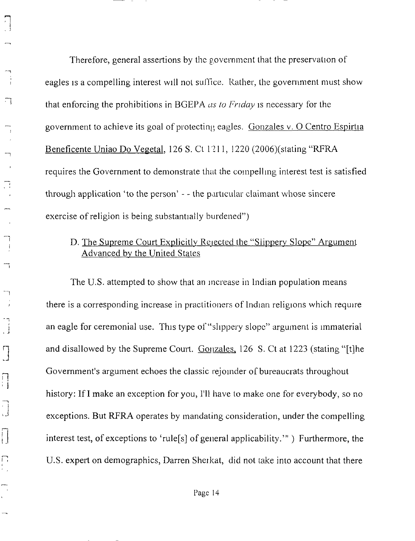刁  $\overline{\phantom{a}}$  $\Box$ <sup>一</sup>门  $\frac{1}{2}$  $\cdot$ j  $\begin{bmatrix} 1 \\ 1 \end{bmatrix}$  $\begin{bmatrix} 1 \\ 1 \\ 1 \end{bmatrix}$  $\prod_{i=1}^{n}$  $\prod_{i=1}^{n}$  $\prod_{i=1}^{n}$  $\begin{bmatrix} 1 \\ 1 \end{bmatrix}$ 

Therefore, general assertions by the government that the preservation of eagles is a compelling interest will not suffice. Rather, the government must show that enforcing the prohibitions in BGEPA *as to Friday* is necessary for the government to achieve its goal of protecting eagles. Gonzales v. O Centro Espirtua Beneficente Uniao Do Vegetal, 126 S. Ct 121 l, 1220 (2006)(slating "RFRA requires the Government to demonstrate that the compelhng interest test is satisfied through application 'to the person' - - the particular claimant whose sincere exercise of religion is being substantially burdened")

## D. The Supreme Court Explicitly Rejected the "Slippery Slope" Argument Advanced by the United States

The U.S. attempted to show that an increase in Indian population means there is a corresponding increase in practitioners of Indian religions which require an eagle for ceremonial use. This type of "slippery slope" argument is immaterial and disallowed by the Supreme Court. Gonzales, 126 S. Ct at 1223 (stating "[t]he Government's argument echoes the classic rejoinder of bureaucrats throughout history: IfI make an exception for you, I'll have to make one for everybody, so no exceptions. But RFRA operates by mandating consideration, under the compelling interest test, of exceptions to 'rule[s] of general applicability.'" ) Furthermore, the U.S. expert on demographics, Darren Sherkat, did not take into account that there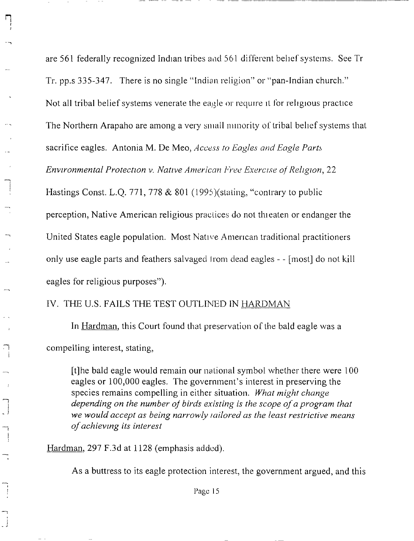are 561 federally recognized Indian tribes aad 561 different behef systems. SeeTr Tr. pp.s 335-347. There is no single "Indian religion" or "pan-Indian church." Not all tribal belief systems venerate the eagle or require it for religious practice The Northern Arapaho are among a very small minority of tribal belief systems that sacrifice eagles. Antonia M. De Meo, *Access* to *Eagles and Eagle Parts Environmental Protection v. Native American Free Exercise of Religion,* 22 Hastings Const. L.O. 771, 778 & 801 (1995)(stating, "contrary to public perception, Native American religious practices do not thieaten or endanger the United States eagle population. Most Nauve American traditional practitioners only use eagle parts and feathers salvaged Jrom dead eagles - - [most] do not kill eagles for religious purposes").

## IV. THE U.S. FAILS THE TEST OUTLINED IN HARDMAN

In Hardman, this Court found that preservation of the bald eagle was a compelling interest, stating,

It]he bald eagle would remain our national symbol whether there were 100 eagles or 100,000 eagles. The government's interest in preserving the species remains compelling in either situation. *What might change depending on the number of birds existing is the scope of a program that we would accept as being narrowly* lailored *as the least restrictive means of achievmg its interest*

Hardman., 297 F.3d at 1128 (emphasis added).

囗 -i

 $\begin{array}{c} \begin{array}{c} \begin{array}{c} \end{array} \\ \begin{array}{c} \end{array} \end{array} \end{array}$ 

As a buttress to its eagle protection interest, the government argued, and this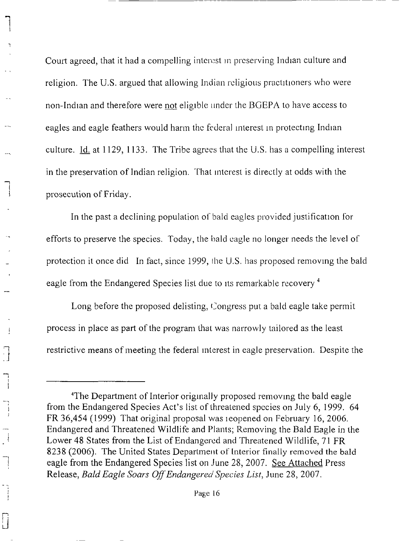Court agreed, that it had a compelling interest in preserving Indian culture and religion. The U.S. argued that allowing Indian religious practitioners who were non-Indian and therefore were not eligible under the BGEPA to have access to eagles and eagle feathers would harm the federal interest in protecting Indian culture. Id. at 1129, 1133. The Tribe agrees that the U.S. has a compelling interest in the preservation of Indian religion. That interest is directly at odds with the prosecution of Friday.

In the past a declining population of bald eagles provided justification for efforts to preserve the species. Today, the bald eagle no longer needs the level of protection it once did In fact, since 1999, fhe U.S. has proposed removing the bald eagle from the Endangered Species list due to its remarkable recovery <sup>4</sup>

Long before the proposed delisting, Congress put a bald eagle take permit process in place as part of the program that was narrowly tailored as the least restrictive means of meeting the federal interest in eagle preservation. Despite the

 $\left| \right|$ 

 $\overline{\mathbf{r}}$ 

 $\begin{bmatrix} 1 \\ -1 \end{bmatrix}$ 

 $\begin{array}{c} \begin{array}{c} \end{array} \end{array}$ 

 $\Box$ 

<sup>&</sup>lt;sup>4</sup>The Department of Interior originally proposed removing the bald eagle from the Endangered Species Act's list of threatened species on July 6, 1999. 64 FR 36,454 (1999) That original proposal was leopened on February 16, 2006. Endangered and Threatened Wildlife and Plants; Removing the Bald Eagle in the Lower 48 States from the List of Endangered and Threatened Wildlife, 71 FR 8238 (2006). The United States Department of Interior finally removed the bald eagle from the Endangered Species list on June 28, 2007. See Attached Press Release, *Bald Eagle Soars Off Endangered Species List,* June 28, 2007.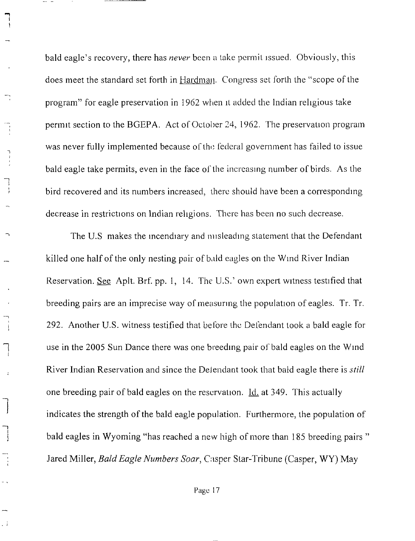bald eagle's recovery, there has *never* been a take permit issued. Obviously, this does meet the standard set forth in Hardman. Congress set forth the "scope of the program" for eagle preservation in 1962 when it added the lndian rehgious take permit section to the BGEPA. Act of October 24, 1962. The preservation program was never fully implemented because of the federal government has failed to issue bald eagle take permits, even in the face of the increasing number of birds. As the bird recovered and its numbers increased, there should have been a corresponding decrease in restrictions on Indian religions. There has been no such decrease.

 $\frac{1}{2}$ 

ŋ  $\frac{1}{2}$ 

 $\mathbf{1}$ 

 $\cdot$ 

 $\ddot{\phantom{1}}$ 

 $\Box$  <br> I

The U.S makes the incendiary and misleading statement that the Defendant killed one half of the only nesting pair of bald eagles on the Wind River Indian Reservation. See Aplt. Brf. pp. 1, 14. The U.S.' own expert witness testified that breeding pairs are an imprecise way of measuring the population of eagles. Tr. Tr. 292. Another U.S. witness testified that before the Defendant took a bald eagle for use in the 2005 Sun Dance there was one breeding pair of bald eagles on the Wind River Indian Reservation and since the Delendant took that bald eagle there is *still* one breeding pair of bald eagles on the rescrvation. Id. at 349. This actually indicates the strength of the bald eagle population. Furthermore, the population of bald eagles in Wyoming "has reached a new high of more than 185 breeding pairs " Jared Miller, *Bald Eagle Numbers Soar,* Casper Star-Tribune (Casper, WY) May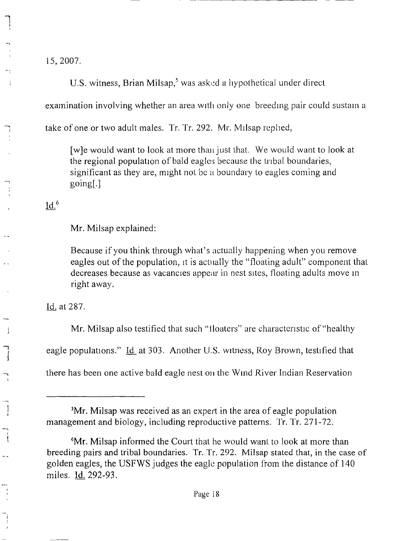15, 2007.

÷

j

 $\begin{array}{c}\n\overrightarrow{a} \\
\overrightarrow{b} \\
\overrightarrow{a}\n\end{array}$ 

 $\begin{array}{c} \n\bullet \\
\bullet \\
\bullet\n\end{array}$ 

 $\sim$   $\sim$ 

U.S. witness, Brian Milsap,<sup>5</sup> was asked a hypothetical under direct examination involving whether an area with only one breeding pair could sustain a take of one or two adult males. Tr. Tr. 292. Mr. Mllsap rephed,

[w]e would want to look at more than just that. We would want to look at the regional population of bald eagles because the tribal boundaries, significant as they are, might not be a boundary to eagles coming and going[.]

## $Id.<sup>6</sup>$

Mr. Milsap explained:

Because if you think through what's actually happening when you remove eagles out of the population, it is actually the "floating adult" component that decreases because as vacancies appear in nest sites, floating adults move m right away.

Id. at 287.

Mr. Milsap also testified that such "floaters" are characteristic of "healthy eagle populations." Id\_at 303. Another U.S. witness, Roy Brown, testified that there has been one active bald eagle nest on the Wind River Indian Reservation

<sup>&</sup>lt;sup>5</sup>Mr. Milsap was received as an expert in the area of eagle population management and biology, including reproductive patterns. Tr. Tr. 271-72.

<sup>&</sup>lt;sup>6</sup>Mr. Milsap informed the Court that he would want to look at more than breeding pairs and tribal boundaries. Tr. Tr. 292. Milsap stated that, in the caseof golden eagles, the USFWS judges the eagle population from the distance of 140 miles. Id. 292-93.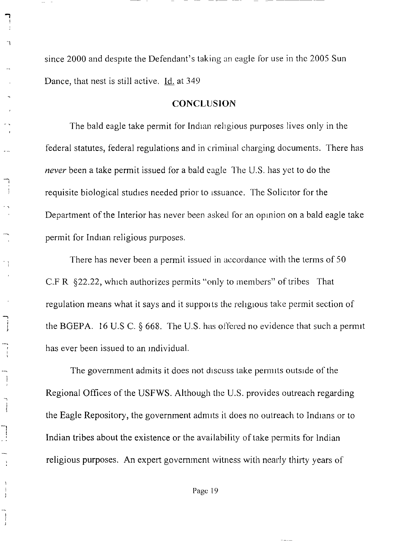since 2000 and despite the Defendant's taking an eagle for use in the 2005 Sun Dance, that nest is still active. Id. at 349

## **CONCLUSION**

The bald eagle take permit for Indian religious purposes lives only in the federal statutes, federal regulations and in criminal charging documents. There has *never* been a take permit issued for a bald eagle The U.S. has yet to do the requisite biological studies needed prior to issuance. The Solicitor for the Department of the Interior has never been asked for an opinion on a bald eagle take permit for Indian religious purposes.

There has never been a permit issued in accordance with the terms of 50 C.F R §22.22, which authorizes permits "only to members" of tribes That regulation means what it says and it supports the religious take permit section of the BGEPA. 16 U.S C.  $\S$  668. The U.S. has offered no evidence that such a permit has ever been issued to an individual.

 $\hat{\mathcal{L}}$ 

 $\frac{1}{2}$ 

 $\begin{array}{c} \begin{array}{c} \begin{array}{c} \end{array}\\ \begin{array}{c} \end{array}\\ \begin{array}{c} \end{array}\\ \begin{array}{c} \end{array}\\ \begin{array}{c} \end{array}\\ \begin{array}{c} \end{array}\\ \begin{array}{c} \end{array}\\ \begin{array}{c} \end{array}\\ \begin{array}{c} \end{array}\\ \begin{array}{c} \end{array}\\ \begin{array}{c} \end{array}\\ \begin{array}{c} \end{array}\\ \begin{array}{c} \end{array}\\ \begin{array}{c} \end{array}\\ \begin{array}{c} \end{array}\\ \begin{array}{c} \end{array}\\ \begin{array}{c} \end{array}\\ \begin$ 

 $\begin{array}{c} \n\hline\n\end{array}$ 

 $\overline{\phantom{a}}$ 

 $\begin{array}{c} 1 \\ 1 \end{array}$ 

 $\begin{array}{c}\n\overrightarrow{\phantom{0}} \\
\overrightarrow{\phantom{0}} \\
\overrightarrow{\phantom{0}} \\
\overrightarrow{\phantom{0}} \\
\overrightarrow{\phantom{0}} \\
\overrightarrow{\phantom{0}} \\
\overrightarrow{\phantom{0}} \\
\overrightarrow{\phantom{0}} \\
\overrightarrow{\phantom{0}} \\
\overrightarrow{\phantom{0}} \\
\overrightarrow{\phantom{0}} \\
\overrightarrow{\phantom{0}} \\
\overrightarrow{\phantom{0}} \\
\overrightarrow{\phantom{0}} \\
\overrightarrow{\phantom{0}} \\
\overrightarrow{\phantom{0}} \\
\overrightarrow{\phantom{0}} \\
\overrightarrow{\phantom{0}} \\
\overrightarrow{\phantom{0}} \\
\overrightarrow{\phantom{0}} \\
\overrightarrow{\phantom{0}} \\
\over$ 

The government admits it does not discuss take permits outside of the Regional Offices of the USFWS. Although the U.S. provides outreach regarding the Eagle Repository, the government admits it does no outreach to Indians or to Indian tribes about the existence or the availability of take permits for lndian religious purposes. An expert government witness with nearly thirty years of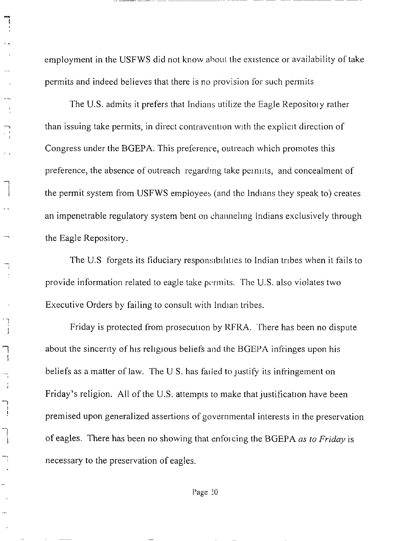employment in the USFWS did not know about the existence or availability of take permits and indeed believes that there is no provision for such permits

The U.S. admits it prefers that Indians utilize the Eagle Repositoly rather than issuing take permits, in direct contravention with the explicit direction of Congress under the BGEPA. This preference, outreach which promotes this preference, the absence of outreach regarding take permits, and concealment of the permit system from USFWS employees (and the lndians they speak to) creates an impenetrable regulatory system bent on channeling Indians exclusively through the Eagle Repository.

The U.S forgets its fiduciary responsibilities to Indian tribes when it fails to provide information related to eagle take permits. The U.S. also violates two Executive Orders by failing to consult with Indian tribes.

j

 $\bigcap$  $\overline{\phantom{a}}$ 

 $\frac{1}{4}$ 

 $\begin{bmatrix} 1 \\ 1 \end{bmatrix}$ 

Friday is protected from prosecution by RFRA. There has been no dispute about the sincerity of his religious beliefs and the BGEPA infringes upon his beliefs as a matter of law. The U S. has failed to justify its infringement on Friday's religion. All of the U.S. attempts to make that justification have been premised upon generalized assertions of governmental interests in the preservation of eagles. There has been no showing that enfol cing the BGEPA *as to Friday* is necessary to the preservation of eagles.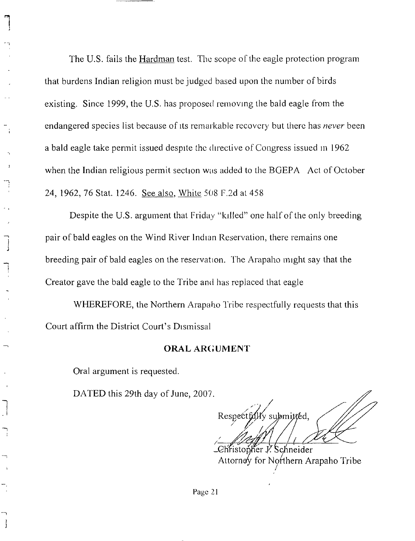The U.S. fails the Hardman test. The scope of the eagle protection program that burdens Indian religion must be judged based upon the number of birds existing. Since 1999, the U.S. has proposed removing the bald eagle from the endangered species list because of its remarkable recovery but there has *never* been a bald eagle take permit issued despite the directive of Congress issued in 1962 when the Indian religious permit section was added to the BGEPA Act of October 24, 1962, 76 Stat. 1246. See also, White 508 F.2d at 458

Despite the U.S. argument that Friday "killed" one half of the only breeding pair of bald eagles on the Wind River Indian Reservation, there remains one breeding pair of bald eagles on the reservation. The Arapaho might say that the Creator gave the bald eagle to the Tribe and has replaced that eagle

WHEREFORE, the Northern Arapaho Tribe respectfully requests that this Court affirm the District Court's Dismissal

#### **ORAL ARGUMENT**

Oral argument is requested.

 $\cdot$ 

DATED this 29th day of June, 2007.

Respectfally submitted. , **/,/J//**

istopher  $V$ hneider Attorney for No :hem Arapaho Tribe */*

Page 21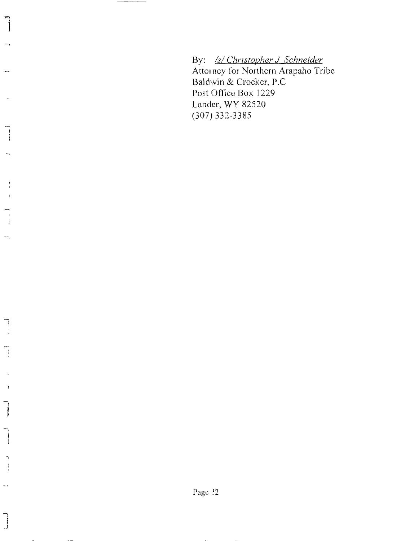By: /s/ Christopher *J Schneider* Attomney for Northern Arapaho Tribe Baldwin & Crocker, P.C Post Office Box 1229 Lander, WY 82520 (307) 332-3385

-1

 $\frac{1}{\sqrt{2}}$ 

 $\frac{1}{2}$ 

÷,

 $\frac{1}{\sqrt{2}}$ 

 $\,$   $\,$ 

 $\mathbf{\mathbf{\mathbf{\mathbf{I}}}}$ 

÷.

 $\begin{array}{c} \hline \hline \end{array}$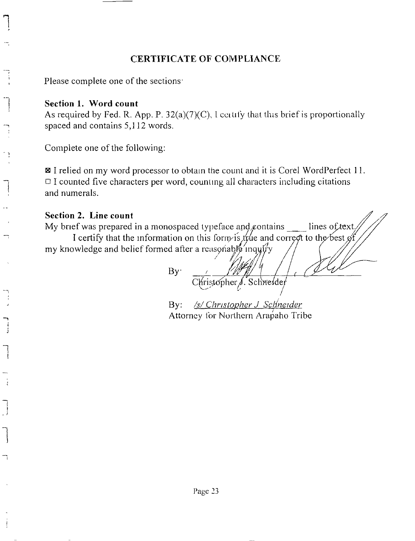## **CERTIFICATE OF COMPLIANCE**

**Please** complete one of the sections'

#### Section 1. Word count

As required by Fed, R. App. P.  $32(a)(7)(C)$ , I certify that this brief is proportionally spaced and contains 5,112 words.

Complete one of the following:

[] I relied on my word processor to obtain the count and it is Corel WordPerfect 11.  $\Box$  I counted five characters per word, counting all characters including citations and numerals.

## Section **2. Line count** *// //*

I

My brief was prepared in a monospaced typeface and contains lines of text,

I certify that the information on this form is type and correct to the best of my knowledge and belief formed after a reasonable inquiry

 $By'$ 

Christopher, Schnelde,

By: /s/ *Christopher J Schneider /* Attorney for **Northern** Arapaho Tribe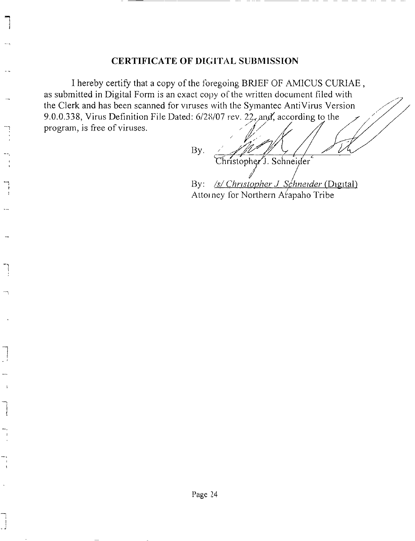#### **CERTIFICATE OF** DIGITAL SUBMISSION

I hereby certify that a copy of the foregoing **BRIEF** OF AMICUS CURIAE, as submitted in Digital Form is an exact copy of the written document filed with the Clerk and has been scanned for viruses with the Symantec AntiVirus Version 9.0.0.338, Virus Definition File Dated: 6/28/07 rev. 22, and, according to the program, is free of viruses *.* , */ /'1 // /" // /*

**•** , */// A'f / / / /* / / *. ,.y , //* JS/ By. Christopher<sup>"</sup>J. Schneider By: /s/ *Christopher J. Schneider* (Digital) *Attomey for Northern Arapaho Trib*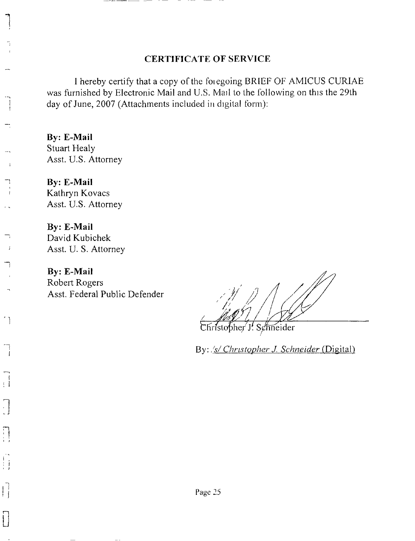#### **CERTIFICATE OF** SERVICE

1 hereby certify that a copy of the folegoing BRIEF OF AMICUS CURIAE was furnished by Electronic Mail and U.S. Mail to the following on this the 29th day of June, 2007 (Attachments included in digital form):

**By: E-Mail** Stuart Healy Asst. U.S. Attorney

By: E-Mail Kathryn Kovacs Asst. U.S. Attorney

**By:** E-Mail David Kubichek Asst. U. S. Attorney

 $\mathbf{j}$ 

 $\bigcap$ 

 $\frac{1}{1}$ 

 $\pm$  1

 $\cdot$   $\cdot$ 

Ħ

 $\begin{array}{c} | \ \ | \ \ | \ \end{array}$ 

 $\Box$ 

By: E-Mail Robert Rogers Asst. Federal Public Defender

*/Iz*

Christopher J. Schneider

By: *.'s/ Christopher J. Schneider* (Digital)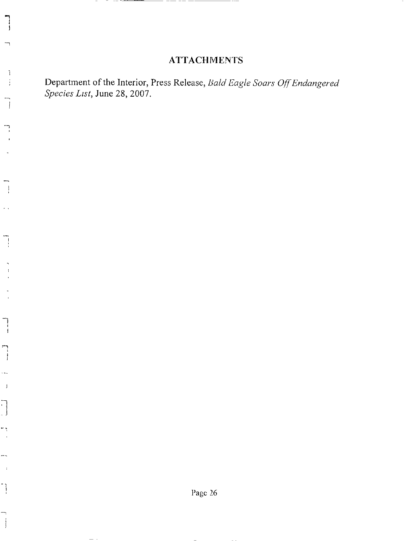# **ATTACHMENTS**

Department of the Interior, Press Release, *Bald Eagle Soars Off Endangered Species List,* June 28, 2007.

 $\overline{\phantom{a}}$ 

j

 $\overline{\phantom{a}}$ 

 $\cdot$  $\frac{1}{2}$ 

 $\cdot$ 

 $\begin{array}{c} 1 \\ 2 \end{array}$ 

 $\frac{1}{3}$ 

Ĵ

 $\,$   $\,$ 

 $\begin{bmatrix} 1 \\ 2 \end{bmatrix}$ 

÷,

 $\begin{bmatrix} 1 \\ 1 \end{bmatrix}$ 

 $\overline{\phantom{a}}$ 

 $\longrightarrow$   $\rightarrow$ 

- ---<del>---</del>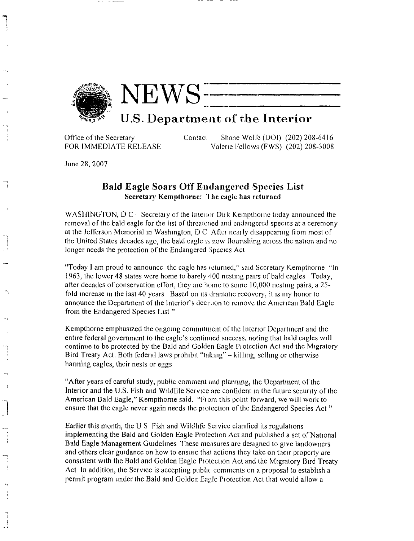

 ${\rm NEWS}$   $=$ U.S. Department of the Interior

Office of the Secretary FOR IMMEDIATE RELEASE Contact Shane Wolfe (DOI)  $(202)$  208-6416 Valerle l'cllows (FWS) (202) 208-3008

June 28,2007

I

 $\overline{1}$ 

#### **Bald** Eagle Soars Off Endangered Species **List** Secretary Kempthorne: The eagle has returned

WASHINGTON,  $D C -$  Secretary of the Interior Dirk Kempthorne today announced the removal of the bald eagle for the list of threatened and endangered species at a ceremony at the Jefferson Memorial in Washington, D C After nearly disappearing from most of the United States decades ago, the bald eagle is now flourishing across the nation and no longer needs the protection of the Endangered Species Act

"Today I am proud to announce the cagle has returned," said Secretary Kempthorne "In 1963, the lower 48 states were home to barely *,100* nesting pairs of bald eagles Today, after decades of conservation effort, they are home to some  $10,000$  nesting pairs, a  $25$ fold increase in the last 40 years Based on its dramatic recovery, it is my honor to announce the Department of the Interior's decroion to remove the American Bald Eagle from the Endangered Species List"

Kempthorne emphasized the ongoing commitment of the Interlor Department and the entire federal government to the eagle's continued success, noting that bald eagles will continue to be protected by the Bald and Golden Eagle Protection Act and the Migratory Bird Treaty Act. Both federal laws prohibit "taking" -- killing, selling or otherwise harming eagles, their nests or eggs

"After years of careful study, public comment and planning, the Department of the Interior and the U.S. Fish and Wildlife Service are confident in the future security of the American Bald Eagle," Kempthorne said. "From this point forward, we will work to ensure that the eagle never again needs the protection of the Endangered Species Act"

Earlier this month, the U S Fish and Wildlife Service clarified its regulations implementing the Bald and Golden Eagle Protection *Act* and pubhshed a set of National Bald Eagle Management Gmdehnes *These* measures arc designed lo gwe landowners and others clear guidance on how to ensure that actions they take on their property are consistent with the Bald and Golden Eagle Protection Act and the Migratory Bird Treaty Act In addition, the Service is accepting public comments on a proposal to establish a permit program under the Bald and Golden Eagle P\_otection *Act* that would allow a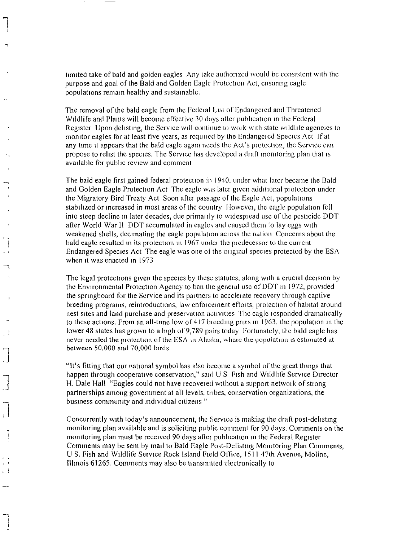limited take of bald and golden eagles. Any take authorized would be consistent with the purpose and goal of the Bald and Golden Eagle Protection Act, ensuring eagle populations remain healthy and sustainable.

The removal of the bald eagle from the Federal List of Endangered and Threatened Wildlife and Plants will become effective 30 days after publication in the Federal Register Upon delisting, the Service will continue to work with state wildlife agencies to monitor eagles for at least five years, as required by the Endangeled Species Act If at any time it appears that the bald eagle again needs the Act's protection, the Service can propose to relist the species. The Service has developed a diaft monitoring plan that is available for public review and comment

The bald eagle first gained federal protection in 1940, under what later became the Bald and Golden Eagle Protection Act The eagle was later given additional protection under the Migratory Bird Treaty Act Soon after passage of the Eagle Act, populations stabilized or increased in most areas of the country Howevel, the eagle population fell into steep decline in later decades, due primarily to widespread use of the pesticide DDT after World War I1 DDT accumulated in eaglc\_ and caused thcnl **to** lay eggs with weakened shells, decimating the eagle population across the nation Concerns about the bald eagle resulted in its protection in 1967 under the predecessor to the current Endangered Species Act The eagle was one of the original species protected by the ESA when it was enacted in 1973

The legal protections given the species by these statutes, along with a crucial decision by the Environmental Protection Agency to ban the general use of  $DDT$  in 1972, provided the springboard for the Service and its paltners to accclelatc recovery through captive breeding programs, reintroductions, law enforcement eftorts, protection of habitat around nest sites and land purchase and preservation activities. The cagle responded dramatically to these actions. From an all-time low of 417 bieeding pairs in 1963, the population in the lower 48 states has grown to a high of 9,789 pairs today Fortunately, the bald eagle has never needed the protection of the ESA in Alaska, where the population is estimated at between *50,000* and 70,000 birds

 $\cdot$  1

. 1

"It's fitting that our natmnal symbol has also become a symbol of **the** great things that happen through cooperative conservation," said U S Fish and Wildlife Service Director H. Dale Hall "Eagles could not have recovered without a support network of strong partnerships among government at all **levels,** tribes, conservation organizations, the business community and individual citizens "

Concurrently with today's announcement, the Service is making the draft post-delisting monitoring plan available and is soliciting public comment for 90 days, Comments on the monitoring plan must be received 90 days after publication m the Federal Register Comments may be sent by mall to Bald Eagle Post-Dclistmg Momtoring Plan Comments, U S. Fish and Wildlife Service Rock Island Field Office, 1511 47th Avenue, Moline, Illinois 61265. Comments may also be transmitted electronically to